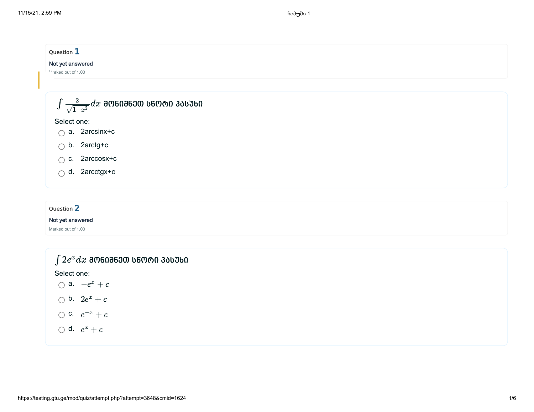

### Not yet answered

Marked out of 1.00

| $\int 2e^x dx$ ᲛᲝᲜᲘᲨᲜᲔᲗ ᲡᲬᲝᲠᲘ ᲞᲐᲡᲣᲮᲘ |  |
|--------------------------------------|--|
| Select one:                          |  |
| $\bigcap$ a. $-e^x+c$                |  |
| $\bigcirc$ b. $2e^x+c$               |  |
| $\bigcirc$ c. $e^{-x} + c$           |  |
| $\bigcirc$ d. $e^x + c$              |  |
|                                      |  |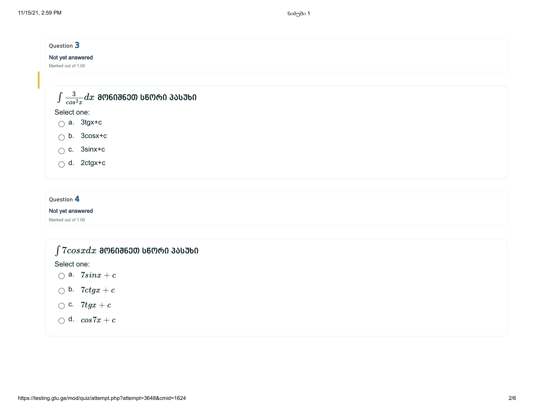| Question 3                                         |  |  |
|----------------------------------------------------|--|--|
| Not yet answered                                   |  |  |
| Marked out of 1.00                                 |  |  |
|                                                    |  |  |
| $\int \frac{3}{\cos^2 x} dx$ ᲛᲝᲜᲘᲨᲜᲔᲗ ᲡᲬᲝᲠᲘ ᲞᲐᲡᲣᲮᲘ |  |  |
|                                                    |  |  |
| Select one:                                        |  |  |
| $\bigcirc$ a. 3tgx+c                               |  |  |
| $\bigcirc$ b. 3cosx+c                              |  |  |
| $\bigcirc$ c. 3sinx+c                              |  |  |
| $\bigcirc$ d. 2ctgx+c                              |  |  |
|                                                    |  |  |
|                                                    |  |  |
| Question 4                                         |  |  |

### Not yet answered

Marked out of 1.00

# $\int 7cosxdx$  ᲛᲝᲜᲘᲨᲜᲔᲗ ᲡᲬᲝᲠᲘ ᲞᲐᲡᲣᲮᲘ

Select one:

- a.  $7sinx + c$
- b.  $7ctgx + c$
- c.  $7tgx + c$
- d.  $cos7x + c$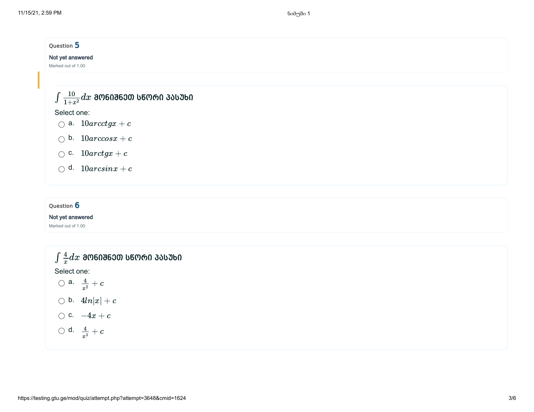| Question 5                                       |  |
|--------------------------------------------------|--|
| Not yet answered                                 |  |
| Marked out of 1.00                               |  |
|                                                  |  |
|                                                  |  |
| $\int \frac{10}{1+x^2} dx$ ᲛᲝᲜᲘᲨᲜᲔᲗ ᲡᲬᲝᲠᲘ ᲞᲐᲡᲣᲮᲘ |  |
| Select one:                                      |  |
| $\bigcirc$ a. $10 \arctg x + c$                  |  |
| $\bigcirc$ b. $10\arccos x+c$                    |  |
|                                                  |  |
| $\bigcirc$ c. $10arctgx + c$                     |  |
| $\bigcirc$ d. $10 arcsinx + c$                   |  |
|                                                  |  |

## Question 6

### Not yet answered

Marked out of 1.00

$$
\int \frac{4}{x} dx
$$
 **300603600 060060 300360**  
\nSelect one:  
\n $\bigcirc$  a.  
\n $\frac{4}{x^2} + c$   
\n $\bigcirc$  b.  
\n $4ln|x| + c$   
\n $\bigcirc$  c.  
\n $-4x + c$   
\n $\bigcirc$  d.  
\n $\frac{4}{x^3} + c$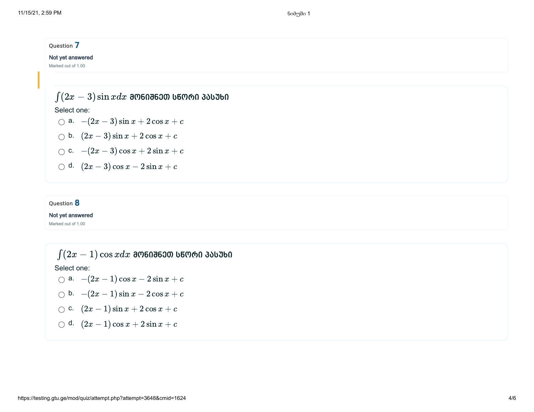

### Question 8

Not yet answered

Marked out of 1.00

 $\int (2x-1)\cos x dx$  მონიშნეთ სწორი პასუხი Select one: a.  $-(2x-1)\cos x - 2\sin x + c$ b.  $-(2x-1)\sin x - 2\cos x + c$ c.  $(2x-1)\sin x + 2\cos x + c$ 

d.  $(2x-1)\cos x + 2\sin x + c$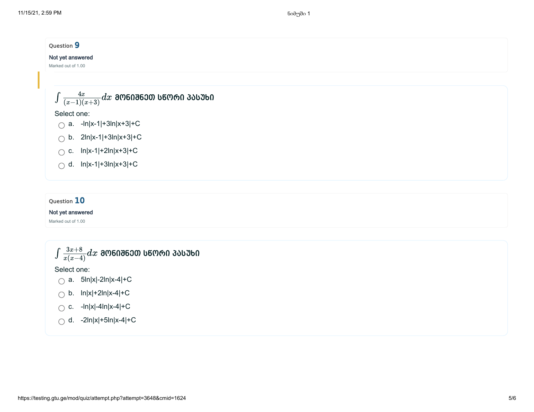

#### Not yet answered

Marked out of 1.00

$$
\int \frac{3x+8}{x(x-4)} dx
$$
 805086300 56060 33550

Select one:

- $\bigcap$  a. 5ln|x|-2ln|x-4|+C
- $\bigcirc$  b. ln|x|+2ln|x-4|+C
- $\bigcap$  c. -ln|x|-4ln|x-4|+C
- $\bigcap$  d. -2ln|x|+5ln|x-4|+C